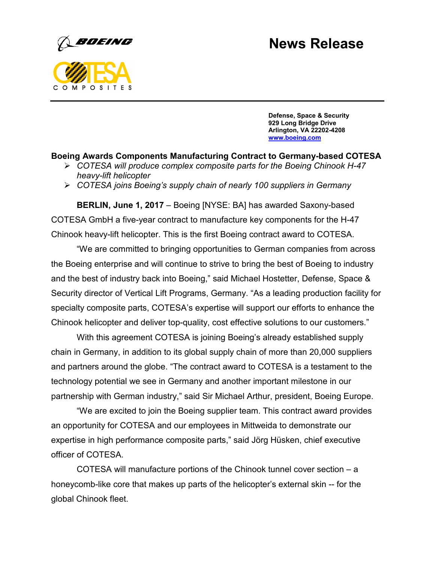## **News Release**



**Defense, Space & Security 929 Long Bridge Drive Arlington, VA 22202-4208 www.boeing.com**

## **Boeing Awards Components Manufacturing Contract to Germany-based COTESA**

- *COTESA will produce complex composite parts for the Boeing Chinook H-47 heavy-lift helicopter*
- *COTESA joins Boeing's supply chain of nearly 100 suppliers in Germany*

**BERLIN, June 1, 2017** – Boeing [NYSE: BA] has awarded Saxony-based COTESA GmbH a five-year contract to manufacture key components for the H-47 Chinook heavy-lift helicopter. This is the first Boeing contract award to COTESA.

"We are committed to bringing opportunities to German companies from across the Boeing enterprise and will continue to strive to bring the best of Boeing to industry and the best of industry back into Boeing," said Michael Hostetter, Defense, Space & Security director of Vertical Lift Programs, Germany. "As a leading production facility for specialty composite parts, COTESA's expertise will support our efforts to enhance the Chinook helicopter and deliver top-quality, cost effective solutions to our customers."

With this agreement COTESA is joining Boeing's already established supply chain in Germany, in addition to its global supply chain of more than 20,000 suppliers and partners around the globe. "The contract award to COTESA is a testament to the technology potential we see in Germany and another important milestone in our partnership with German industry," said Sir Michael Arthur, president, Boeing Europe.

"We are excited to join the Boeing supplier team. This contract award provides an opportunity for COTESA and our employees in Mittweida to demonstrate our expertise in high performance composite parts," said Jörg Hüsken, chief executive officer of COTESA.

COTESA will manufacture portions of the Chinook tunnel cover section – a honeycomb-like core that makes up parts of the helicopter's external skin -- for the global Chinook fleet.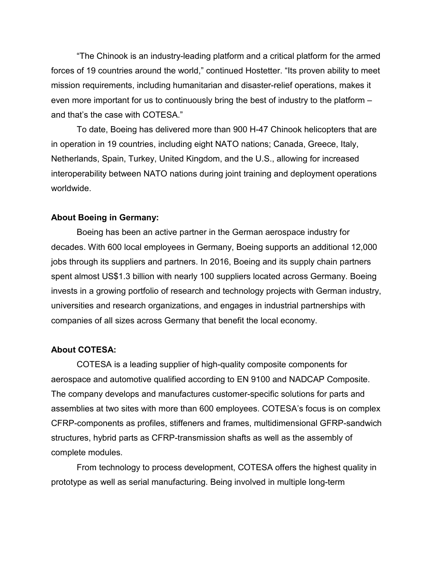"The Chinook is an industry-leading platform and a critical platform for the armed forces of 19 countries around the world," continued Hostetter. "Its proven ability to meet mission requirements, including humanitarian and disaster-relief operations, makes it even more important for us to continuously bring the best of industry to the platform – and that's the case with COTESA."

To date, Boeing has delivered more than 900 H-47 Chinook helicopters that are in operation in 19 countries, including eight NATO nations; Canada, Greece, Italy, Netherlands, Spain, Turkey, United Kingdom, and the U.S., allowing for increased interoperability between NATO nations during joint training and deployment operations worldwide.

## **About Boeing in Germany:**

Boeing has been an active partner in the German aerospace industry for decades. With 600 local employees in Germany, Boeing supports an additional 12,000 jobs through its suppliers and partners. In 2016, Boeing and its supply chain partners spent almost US\$1.3 billion with nearly 100 suppliers located across Germany. Boeing invests in a growing portfolio of research and technology projects with German industry, universities and research organizations, and engages in industrial partnerships with companies of all sizes across Germany that benefit the local economy.

## **About COTESA:**

COTESA is a leading supplier of high-quality composite components for aerospace and automotive qualified according to EN 9100 and NADCAP Composite. The company develops and manufactures customer-specific solutions for parts and assemblies at two sites with more than 600 employees. COTESA's focus is on complex CFRP-components as profiles, stiffeners and frames, multidimensional GFRP-sandwich structures, hybrid parts as CFRP-transmission shafts as well as the assembly of complete modules.

From technology to process development, COTESA offers the highest quality in prototype as well as serial manufacturing. Being involved in multiple long-term